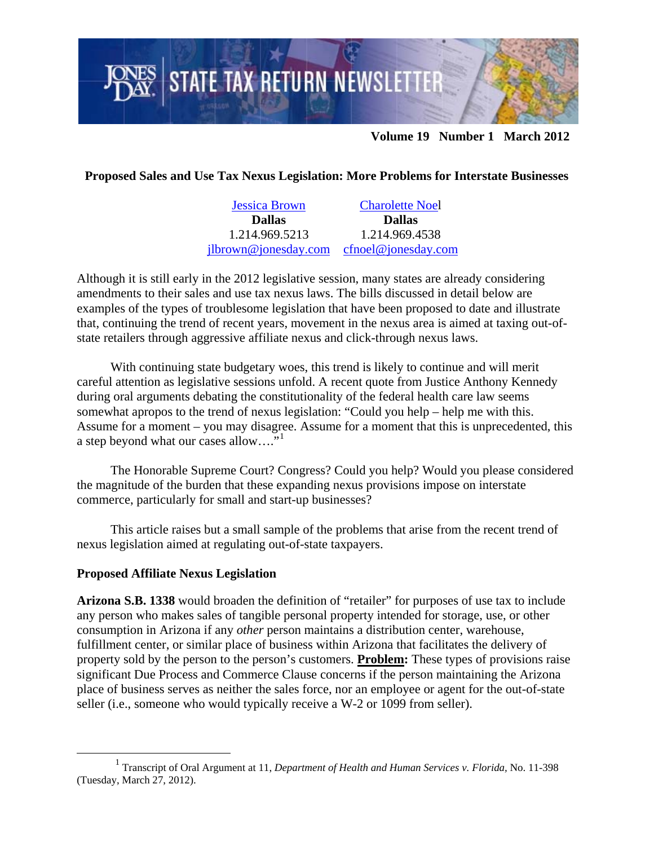

## **Volume 19 Number 1 March 2012**

**Proposed Sales and Use Tax Nexus Legislation: More Problems for Interstate Businesses** 

[Jessica Brown](http://www.jonesday.com/jlbrown/) **Dallas**  1.214.969.5213 [jlbrown@jonesday.com](mailto:jlbrown@jonesday.com) [cfnoel@jonesday.com](mailto:cfnoel@jonesday.com)  [Charolette Noe](http://www.jonesday.com/cfnoel/)l **Dallas** 1.214.969.4538

Although it is still early in the 2012 legislative session, many states are already considering amendments to their sales and use tax nexus laws. The bills discussed in detail below are examples of the types of troublesome legislation that have been proposed to date and illustrate that, continuing the trend of recent years, movement in the nexus area is aimed at taxing out-ofstate retailers through aggressive affiliate nexus and click-through nexus laws.

With continuing state budgetary woes, this trend is likely to continue and will merit careful attention as legislative sessions unfold. A recent quote from Justice Anthony Kennedy during oral arguments debating the constitutionality of the federal health care law seems somewhat apropos to the trend of nexus legislation: "Could you help – help me with this. Assume for a moment – you may disagree. Assume for a moment that this is unprecedented, this a step beyond what our cases allow…."[1](#page-0-0)

The Honorable Supreme Court? Congress? Could you help? Would you please considered the magnitude of the burden that these expanding nexus provisions impose on interstate commerce, particularly for small and start-up businesses?

This article raises but a small sample of the problems that arise from the recent trend of nexus legislation aimed at regulating out-of-state taxpayers.

## **Proposed Affiliate Nexus Legislation**

**Arizona S.B. 1338** would broaden the definition of "retailer" for purposes of use tax to include any person who makes sales of tangible personal property intended for storage, use, or other consumption in Arizona if any *other* person maintains a distribution center, warehouse, fulfillment center, or similar place of business within Arizona that facilitates the delivery of property sold by the person to the person's customers. **Problem:** These types of provisions raise significant Due Process and Commerce Clause concerns if the person maintaining the Arizona place of business serves as neither the sales force, nor an employee or agent for the out-of-state seller (i.e., someone who would typically receive a W-2 or 1099 from seller).

<span id="page-0-0"></span><sup>&</sup>lt;u>1</u> Transcript of Oral Argument at 11, *Department of Health and Human Services v. Florida,* No. 11-398 (Tuesday, March 27, 2012).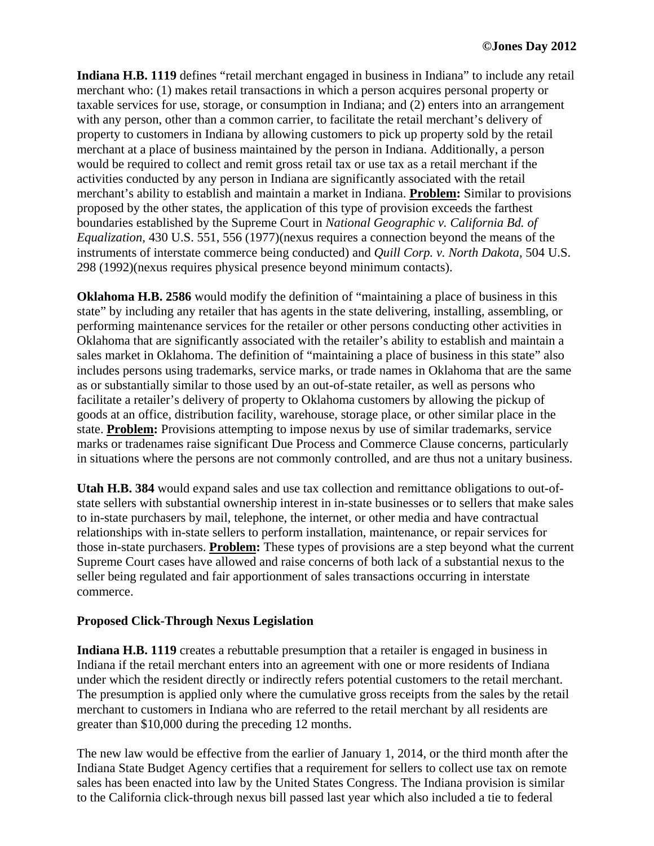**Indiana H.B. 1119** defines "retail merchant engaged in business in Indiana" to include any retail merchant who: (1) makes retail transactions in which a person acquires personal property or taxable services for use, storage, or consumption in Indiana; and (2) enters into an arrangement with any person, other than a common carrier, to facilitate the retail merchant's delivery of property to customers in Indiana by allowing customers to pick up property sold by the retail merchant at a place of business maintained by the person in Indiana. Additionally, a person would be required to collect and remit gross retail tax or use tax as a retail merchant if the activities conducted by any person in Indiana are significantly associated with the retail merchant's ability to establish and maintain a market in Indiana. **Problem:** Similar to provisions proposed by the other states, the application of this type of provision exceeds the farthest boundaries established by the Supreme Court in *National Geographic v. California Bd. of Equalization,* 430 U.S. 551, 556 (1977)(nexus requires a connection beyond the means of the instruments of interstate commerce being conducted) and *Quill Corp. v. North Dakota,* 504 U.S. 298 (1992)(nexus requires physical presence beyond minimum contacts).

**Oklahoma H.B. 2586** would modify the definition of "maintaining a place of business in this state" by including any retailer that has agents in the state delivering, installing, assembling, or performing maintenance services for the retailer or other persons conducting other activities in Oklahoma that are significantly associated with the retailer's ability to establish and maintain a sales market in Oklahoma. The definition of "maintaining a place of business in this state" also includes persons using trademarks, service marks, or trade names in Oklahoma that are the same as or substantially similar to those used by an out-of-state retailer, as well as persons who facilitate a retailer's delivery of property to Oklahoma customers by allowing the pickup of goods at an office, distribution facility, warehouse, storage place, or other similar place in the state. **Problem:** Provisions attempting to impose nexus by use of similar trademarks, service marks or tradenames raise significant Due Process and Commerce Clause concerns, particularly in situations where the persons are not commonly controlled, and are thus not a unitary business.

**Utah H.B. 384** would expand sales and use tax collection and remittance obligations to out-ofstate sellers with substantial ownership interest in in-state businesses or to sellers that make sales to in-state purchasers by mail, telephone, the internet, or other media and have contractual relationships with in-state sellers to perform installation, maintenance, or repair services for those in-state purchasers. **Problem:** These types of provisions are a step beyond what the current Supreme Court cases have allowed and raise concerns of both lack of a substantial nexus to the seller being regulated and fair apportionment of sales transactions occurring in interstate commerce.

## **Proposed Click-Through Nexus Legislation**

**Indiana H.B. 1119** creates a rebuttable presumption that a retailer is engaged in business in Indiana if the retail merchant enters into an agreement with one or more residents of Indiana under which the resident directly or indirectly refers potential customers to the retail merchant. The presumption is applied only where the cumulative gross receipts from the sales by the retail merchant to customers in Indiana who are referred to the retail merchant by all residents are greater than \$10,000 during the preceding 12 months.

The new law would be effective from the earlier of January 1, 2014, or the third month after the Indiana State Budget Agency certifies that a requirement for sellers to collect use tax on remote sales has been enacted into law by the United States Congress. The Indiana provision is similar to the California click-through nexus bill passed last year which also included a tie to federal